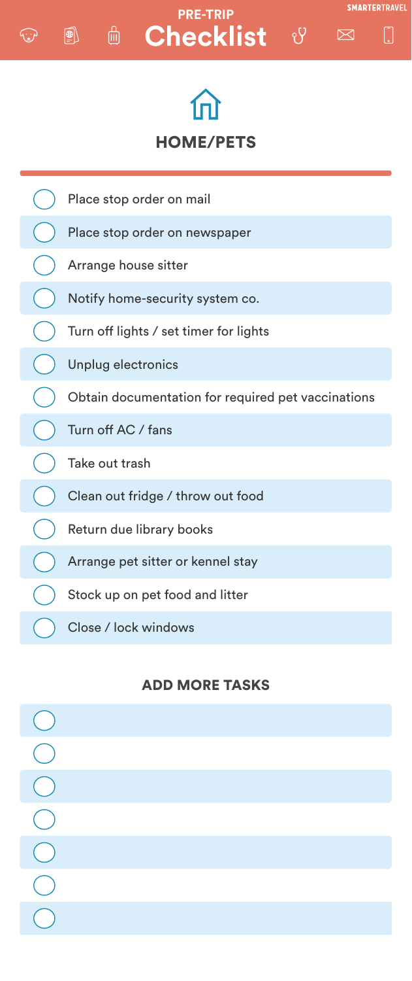

# **E** Checklist & **PRE-TRIP**

 $\circledR$ 

رنيز

**SMARTERTRAVEL** 

 $\boxtimes$ 





### ADD MORE TASKS

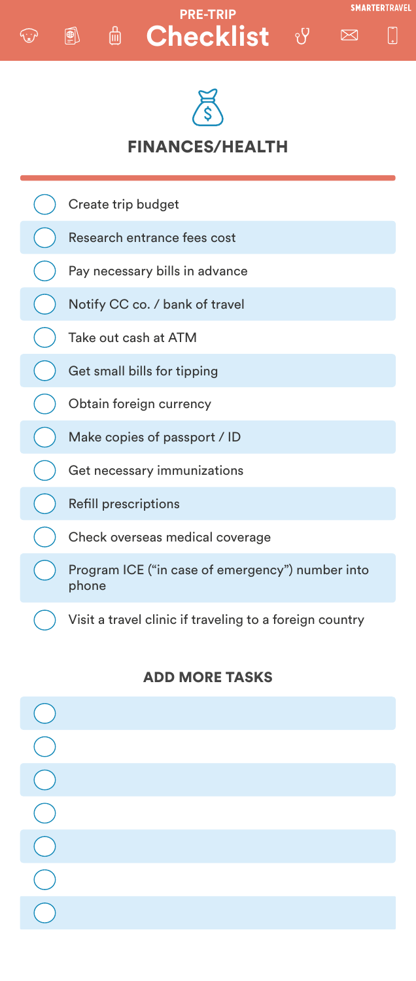

#### **PRE-TRIP**Checklist<sup>&</sup> 一

 $\left(\begin{matrix} \bigoplus\limits_{i=1}^n \end{matrix}\right)$ 

 $\mathbf{w}$ 









### ADD MORE TASKS